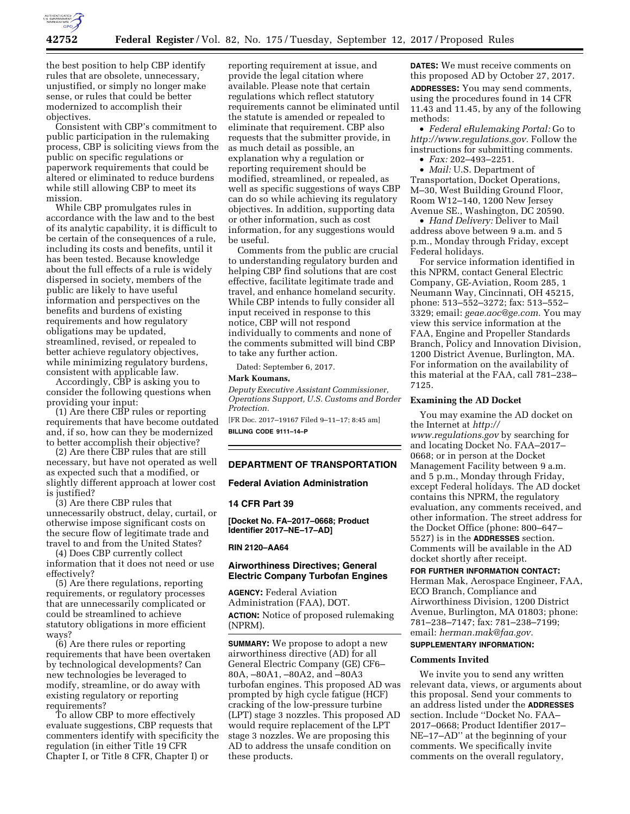

the best position to help CBP identify rules that are obsolete, unnecessary, unjustified, or simply no longer make sense, or rules that could be better modernized to accomplish their objectives.

Consistent with CBP's commitment to public participation in the rulemaking process, CBP is soliciting views from the public on specific regulations or paperwork requirements that could be altered or eliminated to reduce burdens while still allowing CBP to meet its mission.

While CBP promulgates rules in accordance with the law and to the best of its analytic capability, it is difficult to be certain of the consequences of a rule, including its costs and benefits, until it has been tested. Because knowledge about the full effects of a rule is widely dispersed in society, members of the public are likely to have useful information and perspectives on the benefits and burdens of existing requirements and how regulatory obligations may be updated, streamlined, revised, or repealed to better achieve regulatory objectives, while minimizing regulatory burdens, consistent with applicable law.

Accordingly, CBP is asking you to consider the following questions when providing your input:

(1) Are there CBP rules or reporting requirements that have become outdated and, if so, how can they be modernized to better accomplish their objective?

(2) Are there CBP rules that are still necessary, but have not operated as well as expected such that a modified, or slightly different approach at lower cost is justified?

(3) Are there CBP rules that unnecessarily obstruct, delay, curtail, or otherwise impose significant costs on the secure flow of legitimate trade and travel to and from the United States?

(4) Does CBP currently collect information that it does not need or use effectively?

(5) Are there regulations, reporting requirements, or regulatory processes that are unnecessarily complicated or could be streamlined to achieve statutory obligations in more efficient ways?

(6) Are there rules or reporting requirements that have been overtaken by technological developments? Can new technologies be leveraged to modify, streamline, or do away with existing regulatory or reporting requirements?

To allow CBP to more effectively evaluate suggestions, CBP requests that commenters identify with specificity the regulation (in either Title 19 CFR Chapter I, or Title 8 CFR, Chapter I) or

reporting requirement at issue, and provide the legal citation where available. Please note that certain regulations which reflect statutory requirements cannot be eliminated until the statute is amended or repealed to eliminate that requirement. CBP also requests that the submitter provide, in as much detail as possible, an explanation why a regulation or reporting requirement should be modified, streamlined, or repealed, as well as specific suggestions of ways CBP can do so while achieving its regulatory objectives. In addition, supporting data or other information, such as cost information, for any suggestions would be useful.

Comments from the public are crucial to understanding regulatory burden and helping CBP find solutions that are cost effective, facilitate legitimate trade and travel, and enhance homeland security. While CBP intends to fully consider all input received in response to this notice, CBP will not respond individually to comments and none of the comments submitted will bind CBP to take any further action.

Dated: September 6, 2017.

#### **Mark Koumans,**

*Deputy Executive Assistant Commissioner, Operations Support, U.S. Customs and Border Protection.* 

[FR Doc. 2017–19167 Filed 9–11–17; 8:45 am] **BILLING CODE 9111–14–P** 

# **DEPARTMENT OF TRANSPORTATION**

## **Federal Aviation Administration**

#### **14 CFR Part 39**

**[Docket No. FA–2017–0668; Product Identifier 2017–NE–17–AD]** 

## **RIN 2120–AA64**

# **Airworthiness Directives; General Electric Company Turbofan Engines**

**AGENCY:** Federal Aviation Administration (FAA), DOT. **ACTION:** Notice of proposed rulemaking (NPRM).

**SUMMARY:** We propose to adopt a new airworthiness directive (AD) for all General Electric Company (GE) CF6– 80A, –80A1, –80A2, and –80A3 turbofan engines. This proposed AD was prompted by high cycle fatigue (HCF) cracking of the low-pressure turbine (LPT) stage 3 nozzles. This proposed AD would require replacement of the LPT stage 3 nozzles. We are proposing this AD to address the unsafe condition on these products.

**DATES:** We must receive comments on this proposed AD by October 27, 2017. **ADDRESSES:** You may send comments, using the procedures found in 14 CFR 11.43 and 11.45, by any of the following methods:

• *Federal eRulemaking Portal:* Go to *[http://www.regulations.gov.](http://www.regulations.gov)* Follow the instructions for submitting comments.

• *Fax:* 202–493–2251.

• *Mail:* U.S. Department of Transportation, Docket Operations, M–30, West Building Ground Floor, Room W12–140, 1200 New Jersey Avenue SE., Washington, DC 20590.

• *Hand Delivery:* Deliver to Mail address above between 9 a.m. and 5 p.m., Monday through Friday, except Federal holidays.

For service information identified in this NPRM, contact General Electric Company, GE-Aviation, Room 285, 1 Neumann Way, Cincinnati, OH 45215, phone: 513–552–3272; fax: 513–552– 3329; email: *[geae.aoc@ge.com.](mailto:geae.aoc@ge.com)* You may view this service information at the FAA, Engine and Propeller Standards Branch, Policy and Innovation Division, 1200 District Avenue, Burlington, MA. For information on the availability of this material at the FAA, call 781–238– 7125.

### **Examining the AD Docket**

You may examine the AD docket on the Internet at *[http://](http://www.regulations.gov) [www.regulations.gov](http://www.regulations.gov)* by searching for and locating Docket No. FAA–2017– 0668; or in person at the Docket Management Facility between 9 a.m. and 5 p.m., Monday through Friday, except Federal holidays. The AD docket contains this NPRM, the regulatory evaluation, any comments received, and other information. The street address for the Docket Office (phone: 800–647– 5527) is in the **ADDRESSES** section. Comments will be available in the AD docket shortly after receipt.

**FOR FURTHER INFORMATION CONTACT:**  Herman Mak, Aerospace Engineer, FAA, ECO Branch, Compliance and Airworthiness Division, 1200 District Avenue, Burlington, MA 01803; phone: 781–238–7147; fax: 781–238–7199; email: *[herman.mak@faa.gov.](mailto:herman.mak@faa.gov)* 

# **SUPPLEMENTARY INFORMATION:**

# **Comments Invited**

We invite you to send any written relevant data, views, or arguments about this proposal. Send your comments to an address listed under the **ADDRESSES** section. Include ''Docket No. FAA– 2017–0668; Product Identifier 2017– NE–17–AD'' at the beginning of your comments. We specifically invite comments on the overall regulatory,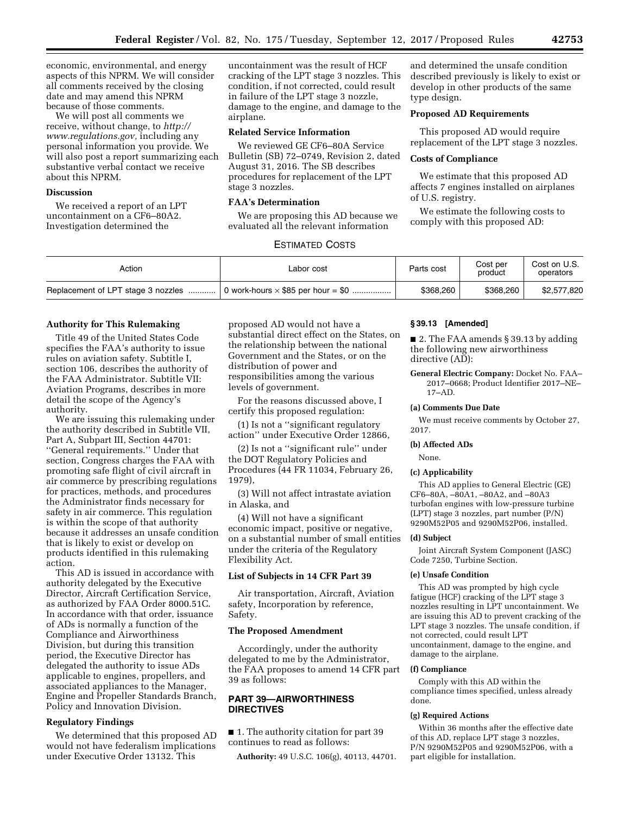economic, environmental, and energy aspects of this NPRM. We will consider all comments received by the closing date and may amend this NPRM because of those comments.

We will post all comments we receive, without change, to *[http://](http://www.regulations.gov) [www.regulations.gov,](http://www.regulations.gov)* including any personal information you provide. We will also post a report summarizing each substantive verbal contact we receive about this NPRM.

# **Discussion**

We received a report of an LPT uncontainment on a CF6–80A2. Investigation determined the

uncontainment was the result of HCF cracking of the LPT stage 3 nozzles. This condition, if not corrected, could result in failure of the LPT stage 3 nozzle, damage to the engine, and damage to the airplane.

#### **Related Service Information**

We reviewed GE CF6–80A Service Bulletin (SB) 72–0749, Revision 2, dated August 31, 2016. The SB describes procedures for replacement of the LPT stage 3 nozzles.

## **FAA's Determination**

We are proposing this AD because we evaluated all the relevant information

and determined the unsafe condition described previously is likely to exist or develop in other products of the same type design.

# **Proposed AD Requirements**

This proposed AD would require replacement of the LPT stage 3 nozzles.

### **Costs of Compliance**

We estimate that this proposed AD affects 7 engines installed on airplanes of U.S. registry.

We estimate the following costs to comply with this proposed AD:

# ESTIMATED COSTS

| Action                             | Labor cost                                | Parts cost | Cost per<br>product | Cost on U.S.<br>operators |
|------------------------------------|-------------------------------------------|------------|---------------------|---------------------------|
| Replacement of LPT stage 3 nozzles | 0 work-hours $\times$ \$85 per hour = \$0 | \$368,260  | \$368,260           | \$2,577,820               |

### **Authority for This Rulemaking**

Title 49 of the United States Code specifies the FAA's authority to issue rules on aviation safety. Subtitle I, section 106, describes the authority of the FAA Administrator. Subtitle VII: Aviation Programs, describes in more detail the scope of the Agency's authority.

We are issuing this rulemaking under the authority described in Subtitle VII, Part A, Subpart III, Section 44701: ''General requirements.'' Under that section, Congress charges the FAA with promoting safe flight of civil aircraft in air commerce by prescribing regulations for practices, methods, and procedures the Administrator finds necessary for safety in air commerce. This regulation is within the scope of that authority because it addresses an unsafe condition that is likely to exist or develop on products identified in this rulemaking action.

This AD is issued in accordance with authority delegated by the Executive Director, Aircraft Certification Service, as authorized by FAA Order 8000.51C. In accordance with that order, issuance of ADs is normally a function of the Compliance and Airworthiness Division, but during this transition period, the Executive Director has delegated the authority to issue ADs applicable to engines, propellers, and associated appliances to the Manager, Engine and Propeller Standards Branch, Policy and Innovation Division.

# **Regulatory Findings**

We determined that this proposed AD would not have federalism implications under Executive Order 13132. This

proposed AD would not have a substantial direct effect on the States, on the relationship between the national Government and the States, or on the distribution of power and responsibilities among the various levels of government.

For the reasons discussed above, I certify this proposed regulation:

(1) Is not a ''significant regulatory action'' under Executive Order 12866,

(2) Is not a ''significant rule'' under the DOT Regulatory Policies and Procedures (44 FR 11034, February 26, 1979),

(3) Will not affect intrastate aviation in Alaska, and

(4) Will not have a significant economic impact, positive or negative, on a substantial number of small entities under the criteria of the Regulatory Flexibility Act.

# **List of Subjects in 14 CFR Part 39**

Air transportation, Aircraft, Aviation safety, Incorporation by reference, Safety.

#### **The Proposed Amendment**

Accordingly, under the authority delegated to me by the Administrator, the FAA proposes to amend 14 CFR part 39 as follows:

# **PART 39—AIRWORTHINESS DIRECTIVES**

■ 1. The authority citation for part 39 continues to read as follows:

**Authority:** 49 U.S.C. 106(g), 40113, 44701.

### **§ 39.13 [Amended]**

■ 2. The FAA amends § 39.13 by adding the following new airworthiness directive (AD):

**General Electric Company:** Docket No. FAA– 2017–0668; Product Identifier 2017–NE– 17–AD.

#### **(a) Comments Due Date**

We must receive comments by October 27, 2017.

#### **(b) Affected ADs**

None.

#### **(c) Applicability**

This AD applies to General Electric (GE) CF6–80A, –80A1, –80A2, and –80A3 turbofan engines with low-pressure turbine (LPT) stage 3 nozzles, part number (P/N) 9290M52P05 and 9290M52P06, installed.

#### **(d) Subject**

Joint Aircraft System Component (JASC) Code 7250, Turbine Section.

# **(e) Unsafe Condition**

This AD was prompted by high cycle fatigue (HCF) cracking of the LPT stage 3 nozzles resulting in LPT uncontainment. We are issuing this AD to prevent cracking of the LPT stage 3 nozzles. The unsafe condition, if not corrected, could result LPT uncontainment, damage to the engine, and damage to the airplane.

#### **(f) Compliance**

Comply with this AD within the compliance times specified, unless already done.

#### **(g) Required Actions**

Within 36 months after the effective date of this AD, replace LPT stage 3 nozzles, P/N 9290M52P05 and 9290M52P06, with a part eligible for installation.